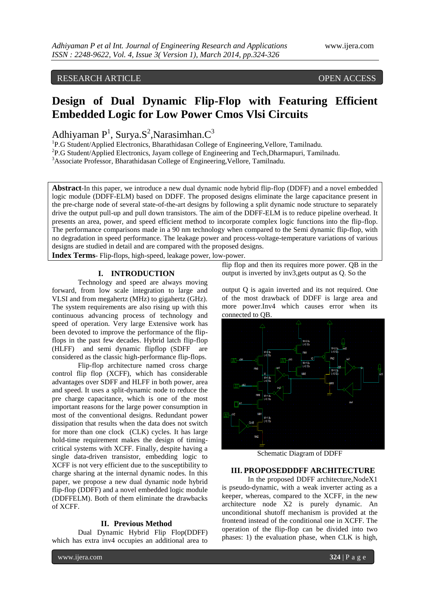## RESEARCH ARTICLE OPEN ACCESS

# **Design of Dual Dynamic Flip-Flop with Featuring Efficient Embedded Logic for Low Power Cmos Vlsi Circuits**

Adhiyaman P<sup>1</sup>, Surya.S<sup>2</sup>, Narasimhan.C<sup>3</sup>

<sup>1</sup>P.G Student/Applied Electronics, Bharathidasan College of Engineering, Vellore, Tamilnadu.

 ${}^{2}P$ .G Student/Applied Electronics, Jayam college of Engineering and Tech, Dharmapuri, Tamilnadu.

<sup>3</sup>Associate Professor, Bharathidasan College of Engineering, Vellore, Tamilnadu.

**Abstract**-In this paper, we introduce a new dual dynamic node hybrid flip-flop (DDFF) and a novel embedded logic module (DDFF-ELM) based on DDFF. The proposed designs eliminate the large capacitance present in the pre-charge node of several state-of-the-art designs by following a split dynamic node structure to separately drive the output pull-up and pull down transistors. The aim of the DDFF-ELM is to reduce pipeline overhead. It presents an area, power, and speed efficient method to incorporate complex logic functions into the flip-flop. The performance comparisons made in a 90 nm technology when compared to the Semi dynamic flip-flop, with no degradation in speed performance. The leakage power and process-voltage-temperature variations of various designs are studied in detail and are compared with the proposed designs.

**Index Terms**- Flip-flops, high-speed, leakage power, low-power.

#### **I. INTRODUCTION**

Technology and speed are always moving forward, from low scale integration to large and VLSI and from megahertz (MHz) to gigahertz (GHz). The system requirements are also rising up with this continuous advancing process of technology and speed of operation. Very large Extensive work has been devoted to improve the performance of the flipflops in the past few decades. Hybrid latch flip-flop (HLFF) and semi dynamic flipflop (SDFF are considered as the classic high-performance flip-flops.

Flip-flop architecture named cross charge control flip flop (XCFF), which has considerable advantages over SDFF and HLFF in both power, area and speed. It uses a split-dynamic node to reduce the pre charge capacitance, which is one of the most important reasons for the large power consumption in most of the conventional designs. Redundant power dissipation that results when the data does not switch for more than one clock (CLK) cycles. It has large hold-time requirement makes the design of timingcritical systems with XCFF. Finally, despite having a single data-driven transistor, embedding logic to XCFF is not very efficient due to the susceptibility to charge sharing at the internal dynamic nodes. In this paper, we propose a new dual dynamic node hybrid flip-flop (DDFF) and a novel embedded logic module (DDFFELM). Both of them eliminate the drawbacks of XCFF.

#### **II. Previous Method**

Dual Dynamic Hybrid Flip Flop(DDFF) which has extra inv4 occupies an additional area to

flip flop and then its requires more power. QB in the output is inverted by inv3,gets output as Q. So the

output Q is again inverted and its not required. One of the most drawback of DDFF is large area and more power.Inv4 which causes error when its connected to QB.



Schematic Diagram of DDFF

#### **III. PROPOSEDDDFF ARCHITECTURE**

In the proposed DDFF architecture,NodeX1 is pseudo-dynamic, with a weak inverter acting as a keeper, whereas, compared to the XCFF, in the new architecture node X2 is purely dynamic. An unconditional shutoff mechanism is provided at the frontend instead of the conditional one in XCFF. The operation of the flip-flop can be divided into two phases: 1) the evaluation phase, when CLK is high,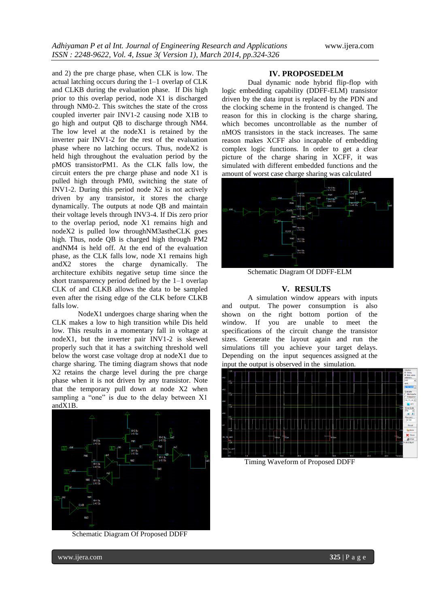and 2) the pre charge phase, when CLK is low. The actual latching occurs during the 1–1 overlap of CLK and CLKB during the evaluation phase. If Dis high prior to this overlap period, node X1 is discharged through NM0-2. This switches the state of the cross coupled inverter pair INV1-2 causing node X1B to go high and output QB to discharge through NM4. The low level at the nodeX1 is retained by the inverter pair INV1-2 for the rest of the evaluation phase where no latching occurs. Thus, nodeX2 is held high throughout the evaluation period by the pMOS transistorPM1. As the CLK falls low, the circuit enters the pre charge phase and node X1 is pulled high through PM0, switching the state of INV1-2. During this period node X2 is not actively driven by any transistor, it stores the charge dynamically. The outputs at node QB and maintain their voltage levels through INV3-4. If Dis zero prior to the overlap period, node X1 remains high and nodeX2 is pulled low throughNM3astheCLK goes high. Thus, node QB is charged high through PM2 andNM4 is held off. At the end of the evaluation phase, as the CLK falls low, node X1 remains high andX2 stores the charge dynamically. The architecture exhibits negative setup time since the short transparency period defined by the 1–1 overlap CLK of and CLKB allows the data to be sampled even after the rising edge of the CLK before CLKB falls low.

NodeX1 undergoes charge sharing when the CLK makes a low to high transition while Dis held low. This results in a momentary fall in voltage at nodeX1, but the inverter pair INV1-2 is skewed properly such that it has a switching threshold well below the worst case voltage drop at nodeX1 due to charge sharing. The timing diagram shows that node X2 retains the charge level during the pre charge phase when it is not driven by any transistor. Note that the temporary pull down at node X2 when sampling a "one" is due to the delay between X1 andX1B.



Schematic Diagram Of Proposed DDFF

#### **IV. PROPOSEDELM**

Dual dynamic node hybrid flip-flop with logic embedding capability (DDFF-ELM) transistor driven by the data input is replaced by the PDN and the clocking scheme in the frontend is changed. The reason for this in clocking is the charge sharing, which becomes uncontrollable as the number of nMOS transistors in the stack increases. The same reason makes XCFF also incapable of embedding complex logic functions. In order to get a clear picture of the charge sharing in XCFF, it was simulated with different embedded functions and the amount of worst case charge sharing was calculated



Schematic Diagram Of DDFF-ELM

#### **V. RESULTS**

A simulation window appears with inputs and output. The power consumption is also shown on the right bottom portion of the window. If you are unable to meet the specifications of the circuit change the transistor sizes. Generate the layout again and run the simulations till you achieve your target delays. Depending on the input sequences assigned at the input the output is observed in the simulation.



Timing Waveform of Proposed DDFF